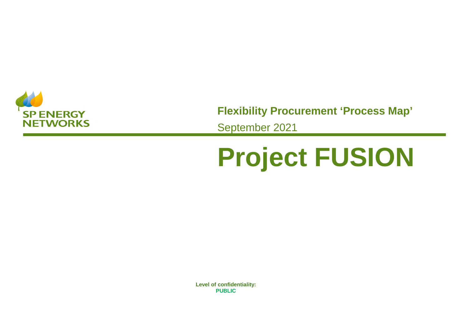

**Flexibility Procurement 'Process Map'** September 2021

## **Project FUSION**

**spenergynetworks.co.uk Level of confidentiality: 1 PUBLIC PUBLIC Level of confidentiality:**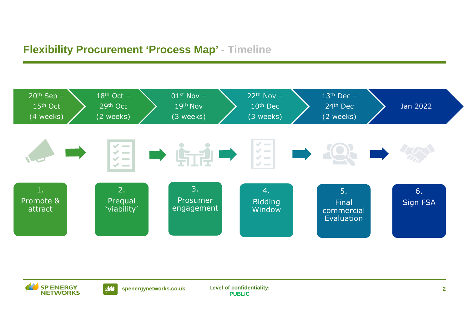## **Flexibility Procurement 'Process Map' - Timeline**